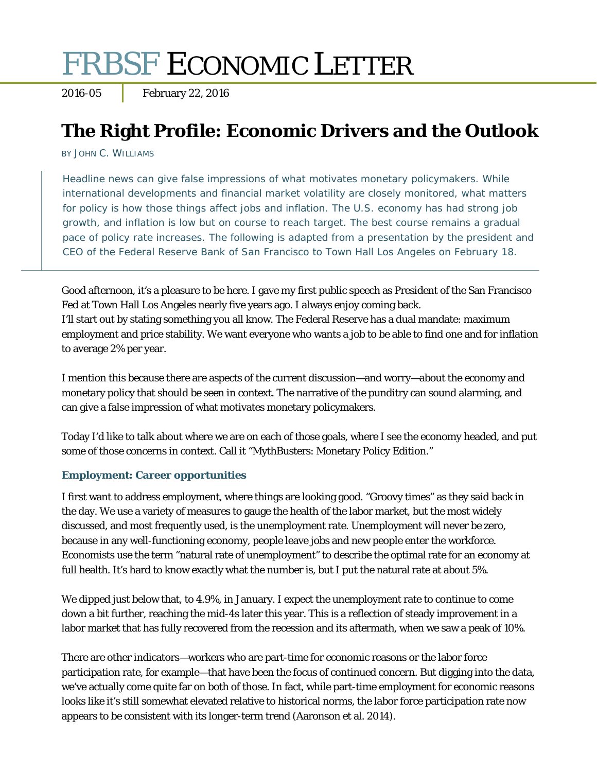# FRBSF ECONOMIC LETTER

2016-05 February 22, 2016

# **The Right Profile: Economic Drivers and the Outlook**

BY JOHN C. WILLIAMS

Headline news can give false impressions of what motivates monetary policymakers. While international developments and financial market volatility are closely monitored, what matters for policy is how those things affect jobs and inflation. The U.S. economy has had strong job growth, and inflation is low but on course to reach target. The best course remains a gradual pace of policy rate increases. The following is adapted from a presentation by the president and CEO of the Federal Reserve Bank of San Francisco to Town Hall Los Angeles on February 18.

Good afternoon, it's a pleasure to be here. I gave my first public speech as President of the San Francisco Fed at Town Hall Los Angeles nearly five years ago. I always enjoy coming back. I'll start out by stating something you all know. The Federal Reserve has a dual mandate: maximum employment and price stability. We want everyone who wants a job to be able to find one and for inflation to average 2% per year.

I mention this because there are aspects of the current discussion—and worry—about the economy and monetary policy that should be seen in context. The narrative of the punditry can sound alarming, and can give a false impression of what motivates monetary policymakers.

Today I'd like to talk about where we are on each of those goals, where I see the economy headed, and put some of those concerns in context. Call it "MythBusters: Monetary Policy Edition."

### **Employment: Career opportunities**

I first want to address employment, where things are looking good. "Groovy times" as they said back in the day. We use a variety of measures to gauge the health of the labor market, but the most widely discussed, and most frequently used, is the unemployment rate. Unemployment will never be zero, because in any well-functioning economy, people leave jobs and new people enter the workforce. Economists use the term "natural rate of unemployment" to describe the optimal rate for an economy at full health. It's hard to know exactly what the number is, but I put the natural rate at about 5%.

We dipped just below that, to 4.9%, in January. I expect the unemployment rate to continue to come down a bit further, reaching the mid-4s later this year. This is a reflection of steady improvement in a labor market that has fully recovered from the recession and its aftermath, when we saw a peak of 10%.

There are other indicators—workers who are part-time for economic reasons or the labor force participation rate, for example—that have been the focus of continued concern. But digging into the data, we've actually come quite far on both of those. In fact, while part-time employment for economic reasons looks like it's still somewhat elevated relative to historical norms, the labor force participation rate now appears to be consistent with its longer-term trend (Aaronson et al. 2014).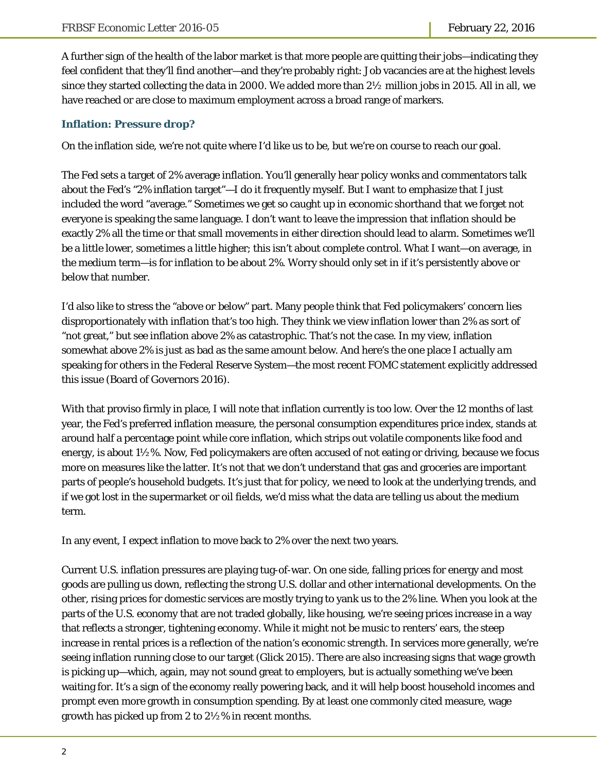A further sign of the health of the labor market is that more people are quitting their jobs—indicating they feel confident that they'll find another—and they're probably right: Job vacancies are at the highest levels since they started collecting the data in 2000. We added more than  $2\frac{1}{2}$  million jobs in 2015. All in all, we have reached or are close to maximum employment across a broad range of markers.

#### **Inflation: Pressure drop?**

On the inflation side, we're not quite where I'd like us to be, but we're on course to reach our goal.

The Fed sets a target of 2% average inflation. You'll generally hear policy wonks and commentators talk about the Fed's "2% inflation target"—I do it frequently myself. But I want to emphasize that I just included the word "average." Sometimes we get so caught up in economic shorthand that we forget not everyone is speaking the same language. I don't want to leave the impression that inflation should be exactly 2% all the time or that small movements in either direction should lead to alarm. Sometimes we'll be a little lower, sometimes a little higher; this isn't about complete control. What I want—on average, in the medium term—is for inflation to be about 2%. Worry should only set in if it's persistently above or below that number.

I'd also like to stress the "above *or* below" part. Many people think that Fed policymakers' concern lies disproportionately with inflation that's too high. They think we view inflation lower than 2% as sort of "not great," but see inflation above 2% as catastrophic. That's not the case. In my view, inflation somewhat above 2% is just as bad as the same amount below. And here's the one place I actually *am* speaking for others in the Federal Reserve System—the most recent FOMC statement explicitly addressed this issue (Board of Governors 2016).

With that proviso firmly in place, I will note that inflation currently is too low. Over the 12 months of last year, the Fed's preferred inflation measure, the personal consumption expenditures price index, stands at around half a percentage point while core inflation, which strips out volatile components like food and energy, is about 1½%. Now, Fed policymakers are often accused of not eating or driving, because we focus more on measures like the latter. It's not that we don't understand that gas and groceries are important parts of people's household budgets. It's just that for policy, we need to look at the underlying trends, and if we got lost in the supermarket or oil fields, we'd miss what the data are telling us about the medium term.

In any event, I expect inflation to move back to 2% over the next two years.

Current U.S. inflation pressures are playing tug-of-war. On one side, falling prices for energy and most goods are pulling us down, reflecting the strong U.S. dollar and other international developments. On the other, rising prices for domestic services are mostly trying to yank us to the 2% line. When you look at the parts of the U.S. economy that are not traded globally, like housing, we're seeing prices increase in a way that reflects a stronger, tightening economy. While it might not be music to renters' ears, the steep increase in rental prices is a reflection of the nation's economic strength. In services more generally, we're seeing inflation running close to our target (Glick 2015). There are also increasing signs that wage growth is picking up—which, again, may not sound great to employers, but is actually something we've been waiting for. It's a sign of the economy really powering back, and it will help boost household incomes and prompt even more growth in consumption spending. By at least one commonly cited measure, wage growth has picked up from 2 to 2½% in recent months.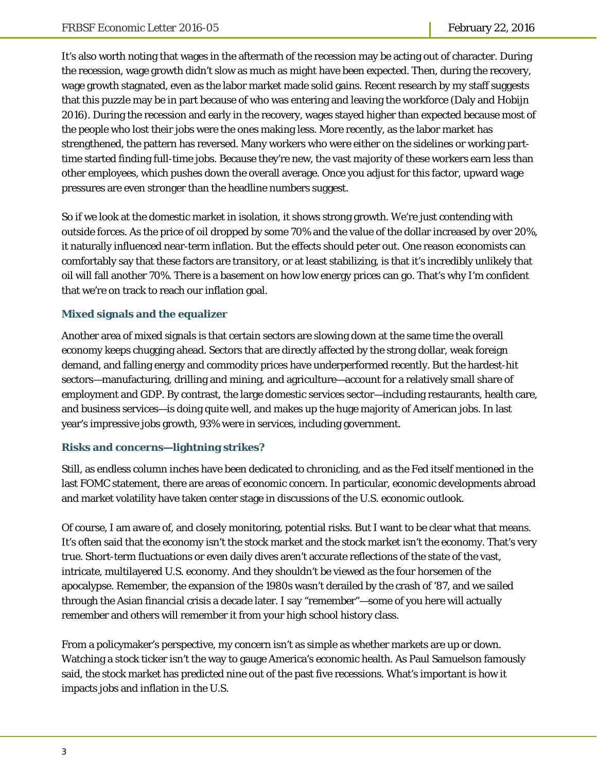It's also worth noting that wages in the aftermath of the recession may be acting out of character. During the recession, wage growth didn't slow as much as might have been expected. Then, during the recovery, wage growth stagnated, even as the labor market made solid gains. Recent research by my staff suggests that this puzzle may be in part because of who was entering and leaving the workforce (Daly and Hobijn 2016). During the recession and early in the recovery, wages stayed higher than expected because most of the people who lost their jobs were the ones making less. More recently, as the labor market has strengthened, the pattern has reversed. Many workers who were either on the sidelines or working parttime started finding full-time jobs. Because they're new, the vast majority of these workers earn less than other employees, which pushes down the overall average. Once you adjust for this factor, upward wage pressures are even stronger than the headline numbers suggest.

So if we look at the domestic market in isolation, it shows strong growth. We're just contending with outside forces. As the price of oil dropped by some 70% and the value of the dollar increased by over 20%, it naturally influenced near-term inflation. But the effects should peter out. One reason economists can comfortably say that these factors are transitory, or at least stabilizing, is that it's incredibly unlikely that oil will fall another 70%. There is a basement on how low energy prices can go. That's why I'm confident that we're on track to reach our inflation goal.

### **Mixed signals and the equalizer**

Another area of mixed signals is that certain sectors are slowing down at the same time the overall economy keeps chugging ahead. Sectors that are directly affected by the strong dollar, weak foreign demand, and falling energy and commodity prices have underperformed recently. But the hardest-hit sectors—manufacturing, drilling and mining, and agriculture—account for a relatively small share of employment and GDP. By contrast, the large domestic services sector—including restaurants, health care, and business services—is doing quite well, and makes up the huge majority of American jobs. In last year's impressive jobs growth, 93% were in services, including government.

### **Risks and concerns—lightning strikes?**

Still, as endless column inches have been dedicated to chronicling, and as the Fed itself mentioned in the last FOMC statement, there are areas of economic concern. In particular, economic developments abroad and market volatility have taken center stage in discussions of the U.S. economic outlook.

Of course, I am aware of, and closely monitoring, potential risks. But I want to be clear what that means. It's often said that the economy isn't the stock market and the stock market isn't the economy. That's very true. Short-term fluctuations or even daily dives aren't accurate reflections of the state of the vast, intricate, multilayered U.S. economy. And they shouldn't be viewed as the four horsemen of the apocalypse. Remember, the expansion of the 1980s wasn't derailed by the crash of '87, and we sailed through the Asian financial crisis a decade later. I say "remember"—some of you here will actually remember and others will remember it from your high school history class.

From a policymaker's perspective, my concern isn't as simple as whether markets are up or down. Watching a stock ticker isn't the way to gauge America's economic health. As Paul Samuelson famously said, the stock market has predicted nine out of the past five recessions. What's important is how it impacts jobs and inflation in the U.S.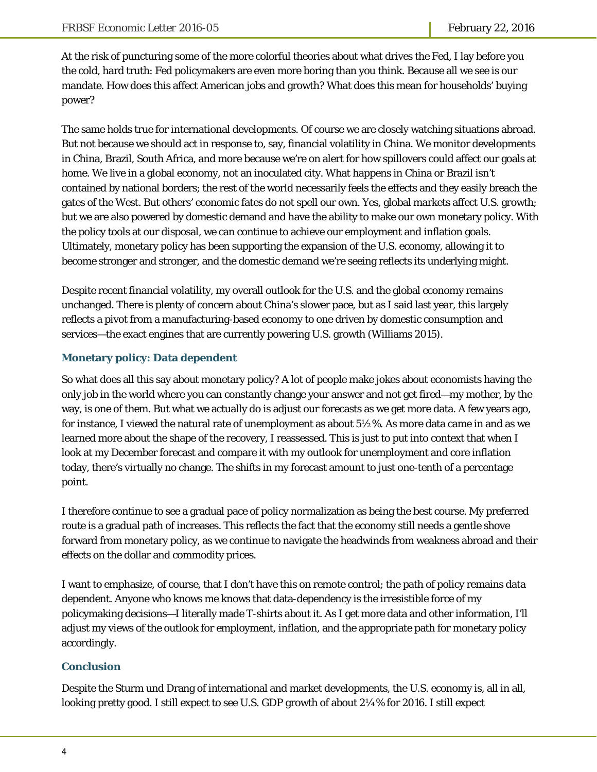At the risk of puncturing some of the more colorful theories about what drives the Fed, I lay before you the cold, hard truth: Fed policymakers are even more boring than you think. Because all we see is our mandate. How does this affect American jobs and growth? What does this mean for households' buying power?

The same holds true for international developments. Of course we are closely watching situations abroad. But not because we should act in response to, say, financial volatility in China. We monitor developments in China, Brazil, South Africa, and more because we're on alert for how spillovers could affect our goals at home. We live in a global economy, not an inoculated city. What happens in China or Brazil isn't contained by national borders; the rest of the world necessarily feels the effects and they easily breach the gates of the West. But others' economic fates do not spell our own. Yes, global markets affect U.S. growth; but we are also powered by domestic demand and have the ability to make our own monetary policy. With the policy tools at our disposal, we can continue to achieve our employment and inflation goals. Ultimately, monetary policy has been supporting the expansion of the U.S. economy, allowing it to become stronger and stronger, and the domestic demand we're seeing reflects its underlying might.

Despite recent financial volatility, my overall outlook for the U.S. and the global economy remains unchanged. There is plenty of concern about China's slower pace, but as I said last year, this largely reflects a pivot from a manufacturing-based economy to one driven by domestic consumption and services—the exact engines that are currently powering U.S. growth (Williams 2015).

## **Monetary policy: Data dependent**

So what does all this say about monetary policy? A lot of people make jokes about economists having the only job in the world where you can constantly change your answer and not get fired—my mother, by the way, is one of them. But what we actually do is adjust our forecasts as we get more data. A few years ago, for instance, I viewed the natural rate of unemployment as about 5½%. As more data came in and as we learned more about the shape of the recovery, I reassessed. This is just to put into context that when I look at my December forecast and compare it with my outlook for unemployment and core inflation today, there's virtually no change. The shifts in my forecast amount to just one-tenth of a percentage point.

I therefore continue to see a gradual pace of policy normalization as being the best course. My preferred route is a gradual path of increases. This reflects the fact that the economy still needs a gentle shove forward from monetary policy, as we continue to navigate the headwinds from weakness abroad and their effects on the dollar and commodity prices.

I want to emphasize, of course, that I don't have this on remote control; the path of policy remains data dependent. Anyone who knows me knows that data-dependency is the irresistible force of my policymaking decisions—I literally made T-shirts about it. As I get more data and other information, I'll adjust my views of the outlook for employment, inflation, and the appropriate path for monetary policy accordingly.

### **Conclusion**

Despite the Sturm und Drang of international and market developments, the U.S. economy is, all in all, looking pretty good. I still expect to see U.S. GDP growth of about 2¼% for 2016. I still expect